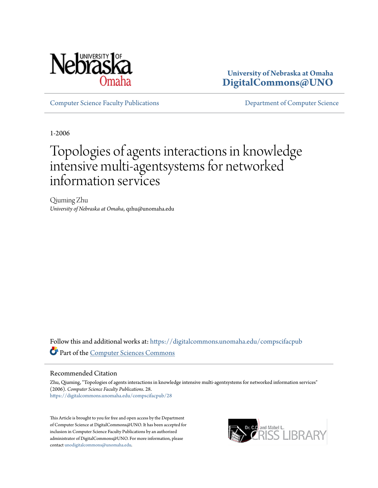

**University of Nebraska at Omaha [DigitalCommons@UNO](https://digitalcommons.unomaha.edu?utm_source=digitalcommons.unomaha.edu%2Fcompscifacpub%2F28&utm_medium=PDF&utm_campaign=PDFCoverPages)**

[Computer Science Faculty Publications](https://digitalcommons.unomaha.edu/compscifacpub?utm_source=digitalcommons.unomaha.edu%2Fcompscifacpub%2F28&utm_medium=PDF&utm_campaign=PDFCoverPages) [Department of Computer Science](https://digitalcommons.unomaha.edu/compsci?utm_source=digitalcommons.unomaha.edu%2Fcompscifacpub%2F28&utm_medium=PDF&utm_campaign=PDFCoverPages)

1-2006

# Topologies of agents interactions in knowledge intensive multi-agentsystems for networked information services

Qiuming Zhu *University of Nebraska at Omaha*, qzhu@unomaha.edu

Follow this and additional works at: [https://digitalcommons.unomaha.edu/compscifacpub](https://digitalcommons.unomaha.edu/compscifacpub?utm_source=digitalcommons.unomaha.edu%2Fcompscifacpub%2F28&utm_medium=PDF&utm_campaign=PDFCoverPages) Part of the [Computer Sciences Commons](http://network.bepress.com/hgg/discipline/142?utm_source=digitalcommons.unomaha.edu%2Fcompscifacpub%2F28&utm_medium=PDF&utm_campaign=PDFCoverPages)

### Recommended Citation

Zhu, Qiuming, "Topologies of agents interactions in knowledge intensive multi-agentsystems for networked information services" (2006). *Computer Science Faculty Publications*. 28. [https://digitalcommons.unomaha.edu/compscifacpub/28](https://digitalcommons.unomaha.edu/compscifacpub/28?utm_source=digitalcommons.unomaha.edu%2Fcompscifacpub%2F28&utm_medium=PDF&utm_campaign=PDFCoverPages)

This Article is brought to you for free and open access by the Department of Computer Science at DigitalCommons@UNO. It has been accepted for inclusion in Computer Science Faculty Publications by an authorized administrator of DigitalCommons@UNO. For more information, please contact [unodigitalcommons@unomaha.edu.](mailto:unodigitalcommons@unomaha.edu)

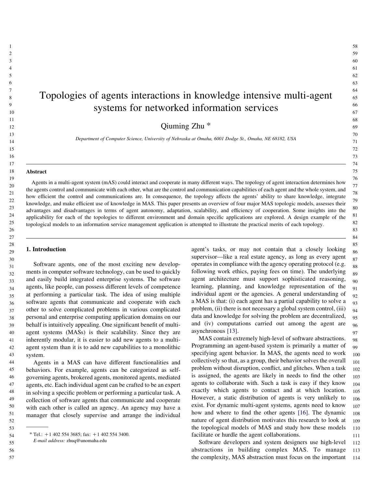## Topologies of agents interactions in knowledge intensive multi-agent systems for networked information services

Qiuming Zhu \*

Department of Computer Science, University of Nebraska at Omaha, 6001 Dodge St., Omaha, NE 68182, USA

#### Abstract

Agents in a multi-agent system (mAS) could interact and cooperate in many different ways. The topology of agent interaction determines how the agents control and communicate with each other, what are the control and communication capabilities of each agent and the whole system, and how efficient the control and communications are. In consequence, the topology affects the agents' ability to share knowledge, integrate knowledge, and make efficient use of knowledge in MAS. This paper presents an overview of four major MAS topologic models, assesses their advantages and disadvantages in terms of agent autonomy, adaptation, scalability, and efficiency of cooperation. Some insights into the applicability for each of the topologies to different environment and domain specific applications are explored. A design example of the topological models to an information service management application is attempted to illustrate the practical merits of each topology.

#### 1. Introduction

Software agents, one of the most exciting new developments in computer software technology, can be used to quickly and easily build integrated enterprise systems. The software agents, like people, can possess different levels of competence at performing a particular task. The idea of using multiple software agents that communicate and cooperate with each other to solve complicated problems in various complicated personal and enterprise computing application domains on our behalf is intuitively appealing. One significant benefit of multiagent systems (MASs) is their scalability. Since they are inherently modular, it is easier to add new agents to a multiagent system than it is to add new capabilities to a monolithic system.

Agents in a MAS can have different functionalities and behaviors. For example, agents can be categorized as selfgoverning agents, brokered agents, monitored agents, mediated agents, etc. Each individual agent can be crafted to be an expert in solving a specific problem or performing a particular task. A collection of software agents that communicate and cooperate with each other is called an agency. An agency may have a manager that closely supervise and arrange the individual 

agent's tasks, or may not contain that a closely looking supervisor—like a real estate agency, as long as every agent operates in compliance with the agency operating protocol (e.g. following work ethics, paying fees on time). The underlying agent architecture must support sophisticated reasoning, learning, planning, and knowledge representation of the individual agent or the agencies. A general understanding of a MAS is that: (i) each agent has a partial capability to solve a problem, (ii) there is not necessary a global system control, (iii) data and knowledge for solving the problem are decentralized, and (iv) computations carried out among the agent are asynchronous [\[13\]](#page-14-0). 

MAS contain extremely high-level of software abstractions. Programming an agent-based system is primarily a matter of specifying agent behavior. In MAS, the agents need to work collectively so that, as a group, their behavior solves the overall problem without disruption, conflict, and glitches. When a task is assigned, the agents are likely in needs to find the other agents to collaborate with. Such a task is easy if they know exactly which agents to contact and at which location. However, a static distribution of agents is very unlikely to exist. For dynamic multi-agent systems, agents need to know how and where to find the other agents [\[16\]](#page-14-0). The dynamic nature of agent distribution motivates this research to look at the topological models of MAS and study how these models facilitate or hurdle the agent collaborations. 

Software developers and system designers use high-level abstractions in building complex MAS. To manage the complexity, MAS abstraction must focus on the important 

 $*$  Tel.: +1 402 554 3685; fax: +1 402 554 3400.

E-mail address: zhuq@unomaha.edu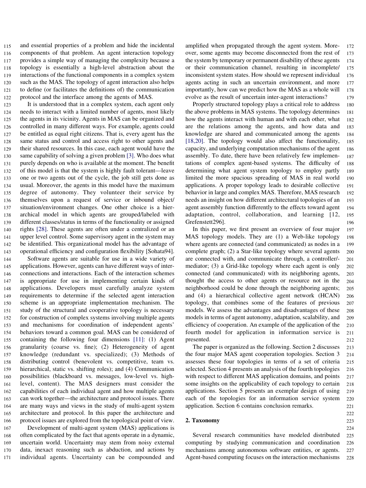and essential properties of a problem and hide the incidental components of that problem. An agent interaction topology provides a simple way of managing the complexity because a topology is essentially a high-level abstraction about the interactions of the functional components in a complex system such as the MAS. The topology of agent interaction also helps to define (or facilitates the definitions of) the communication protocol and the interface among the agents of MAS. 115 116 117 118 119 120 121 122

It is understood that in a complex system, each agent only needs to interact with a limited number of agents, most likely the agents in its vicinity. Agents in MAS can be organized and controlled in many different ways. For example, agents could be entitled as equal right citizens. That is, every agent has the same status and control and access right to other agents and their shared resources. In this case, each agent would have the same capability of solving a given problem [\[3\].](#page-14-0) Who does what purely depends on who is available at the moment. The benefit of this model is that the system is highly fault tolerant—leave one or two agents out of the cycle, the job still gets done as usual. Moreover, the agents in this model have the maximum degree of autonomy. They volunteer their service by themselves upon a request of service or inbound object/ situation/environment changes. One other choice is a hierarchical model in which agents are grouped/labeled with different classes/status in terms of the functionality or assigned rights [\[28\].](#page-15-0) These agents are often under a centralized or an upper level control. Some supervisory agent in the system may be identified. This organizational model has the advantage of operational efficiency and configuration flexibility [Sohata94]. 123 124 125 126 127 128 129 130 131 132 133 134 135 136 137 138 139 140 141 142 143

Software agents are suitable for use in a wide variety of applications. However, agents can have different ways of interconnections and interactions. Each of the interaction schemes is appropriate for use in implementing certain kinds of applications. Developers must carefully analyze system requirements to determine if the selected agent interaction scheme is an appropriate implementation mechanism. The study of the structural and cooperative topology is necessary for construction of complex systems involving multiple agents and mechanisms for coordination of independent agents' behaviors toward a common goal. MAS can be considered of containing the following four dimensions [\[11\]](#page-14-0): (1) Agent granularity (coarse vs. fine); (2) Heterogeneity of agent knowledge (redundant vs. specialized); (3) Methods of distributing control (benevolent vs. competitive, team vs. hierarchical, static vs. shifting roles); and (4) Communication possibilities (blackboard vs. messages, low-level vs. highlevel, content). The MAS designers must consider the capabilities of each individual agent and how multiple agents can work together—the architecture and protocol issues. There are many ways and views in the study of multi-agent system architecture and protocol. In this paper the architecture and protocol issues are explored from the topological point of view. 144 145 146 147 148 149 150 151 152 153 154 155 156 157 158 159 160 161 162 163 164 165 166

Development of multi-agent system (MAS) applications is often complicated by the fact that agents operate in a dynamic, uncertain world. Uncertainty may stem from noisy external data, inexact reasoning such as abduction, and actions by individual agents. Uncertainty can be compounded and 167 168 169 170 171

amplified when propagated through the agent system. Moreover, some agents may become disconnected from the rest of the system by temporary or permanent disability of these agents or their communication channel, resulting in incomplete/ inconsistent system states. How should we represent individual agents acting in such an uncertain environment, and more importantly, how can we predict how the MAS as a whole will evolve as the result of uncertain inter-agent interactions? 172 173 174 175 176 177 178 179

Properly structured topology plays a critical role to address the above problems in MAS systems. The topology determines how the agents interact with human and with each other, what are the relations among the agents, and how data and knowledge are shared and communicated among the agents [\[18,20\].](#page-14-0) The topology would also affect the functionality, capacity, and underlying computation mechanisms of the agent assembly. To date, there have been relatively few implementations of complex agent-based systems. The difficulty of determining what agent system topology to employ partly limited the more spacious spreading of MAS in real world applications. A proper topology leads to desirable collective behavior in large and complex MAS. Therefore, MAS research needs an insight on how different architectural topologies of an agent assembly function differently to the effects toward agent adaptation, control, collaboration, and learning [12, Grefenstett296]. 180 181 182 183 184 185 186 187 188 189 190 191 192 193 194 195 196

In this paper, we first present an overview of four major MAS topology models. They are (1) a Web-like topology where agents are connected (and communicated) as nodes in a complete graph; (2) a Star-like topology where several agents are connected with, and communicate through, a controller/ mediator; (3) a Grid-like topology where each agent is only connected (and communicated) with its neighboring agents, thought the access to other agents or resource not in the neighborhood could be done through the neighboring agents; and (4) a hierarchical collective agent network (HCAN) topology, that combines some of the features of previous models. We assess the advantages and disadvantages of these models in terms of agent autonomy, adaptation, scalability, and efficiency of cooperation. An example of the application of the fourth model for application in information service is presented. 197 198 199 200 201 202  $203$ 204 205 206 207 208 209 210 211 212

The paper is organized as the following. Section 2 discusses the four major MAS agent cooperation topologies. Section 3 assesses these four topologies in terms of a set of criteria selected. Section 4 presents an analysis of the fourth topologies with respect to different MAS application domains, and points some insights on the applicability of each topology to certain applications. Section 5 presents an exemplar design of using each of the topologies for an information service system application. Section 6 contains conclusion remarks. 213 214 215 216 217  $218$ 219 220

#### 2. Taxonomy

Several research communities have modeled distributed computing by studying communication and coordination mechanisms among autonomous software entities, or agents. Agent-based computing focuses on the interaction mechanisms  $225$ 226 227 228

221 222  $223$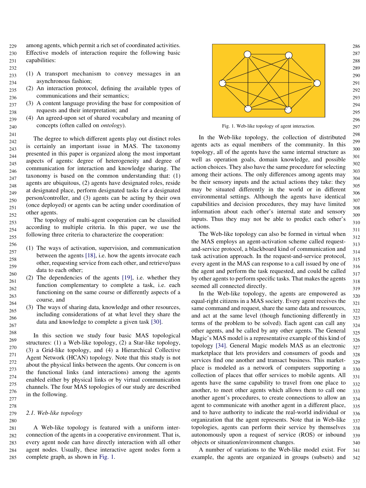among agents, which permit a rich set of coordinated activities. Effective models of interaction require the following basic capabilities:  $229$ 230 231

232

241

- (1) A transport mechanism to convey messages in an asynchronous fashion; 233 234
- (2) An interaction protocol, defining the available types of communications and their semantics; 235 236
- (3) A content language providing the base for composition of requests and their interpretation; and  $237$ 238
- (4) An agreed-upon set of shared vocabulary and meaning of concepts (often called on ontology). 239 240

The degree to which different agents play out distinct roles is certainly an important issue in MAS. The taxonomy presented in this paper is organized along the most important aspects of agents: degree of heterogeneity and degree of communication for interaction and knowledge sharing. The taxonomy is based on the common understanding that: (1) agents are ubiquitous, (2) agents have designated roles, reside at designated place, perform designated tasks for a designated person/controller, and (3) agents can be acting by their own (once deployed) or agents can be acting under coordination of other agents.  $242$ 243 244 245 246 247 248 249 250 251 252

The topology of multi-agent cooperation can be classified according to multiple criteria. In this paper, we use the following three criteria to characterize the cooperation: 253 254 255

- (1) The ways of activation, supervision, and communication between the agents [\[18\]](#page-14-0), i.e. how the agents invocate each other, requesting service from each other, and retrieve/pass data to each other; 256 257 258 259 260
- (2) The dependencies of the agents [\[19\]](#page-14-0), i.e. whether they function complementary to complete a task, i.e. each functioning on the same course or differently aspects of a course, and 261 262 263 264
- (3) The ways of sharing data, knowledge and other resources, including considerations of at what level they share the data and knowledge to complete a given task [\[30\].](#page-15-0) 265 266 267

In this section we study four basic MAS topological structures: (1) a Web-like topology, (2) a Star-like topology, (3) a Grid-like topology, and (4) a Hierarchical Collective Agent Network (HCAN) topology. Note that this study is not about the physical links between the agents. Our concern is on the functional links (and interactions) among the agents enabled either by physical links or by virtual communication channels. The four MAS topologies of our study are described in the following.

#### 2.1. Web-like topology

A Web-like topology is featured with a uniform interconnection of the agents in a cooperative environment. That is, every agent node can have directly interaction with all other agent nodes. Usually, these interactive agent nodes form a complete graph, as shown in Fig. 1. 281 282 283 284 285



Fig. 1. Web-like topology of agent interaction.

In the Web-like topology, the collection of distributed agents acts as equal members of the community. In this topology, all of the agents have the same internal structure as well as operation goals, domain knowledge, and possible action choices. They also have the same procedure for selecting among their actions. The only differences among agents may be their sensory inputs and the actual actions they take: they may be situated differently in the world or in different environmental settings. Although the agents have identical capabilities and decision procedures, they may have limited information about each other's internal state and sensory inputs. Thus they may not be able to predict each other's actions.

The Web-like topology can also be formed in virtual when the MAS employs an agent-activation scheme called requestand-service protocol, a blackboard kind of communication and task activation approach. In the request-and-service protocol, every agent in the MAS can response to a call issued by one of the agent and perform the task requested, and could be called by other agents to perform specific tasks. That makes the agents seemed all connected directly. 317 318 319

In the Web-like topology, the agents are empowered as equal-right citizens in a MAS society. Every agent receives the same command and request, share the same data and resources, and act at the same level (though functioning differently in terms of the problem to be solved). Each agent can call any other agents, and be called by any other agents. The General Magic's MAS model is a representative example of this kind of topology [\[34\].](#page-15-0) General Magic models MAS as an electronic marketplace that lets providers and consumers of goods and services find one another and transact business. This marketplace is modeled as a network of computers supporting a collection of places that offer services to mobile agents. All agents have the same capability to travel from one place to another, to meet other agents which allows them to call one another agent's procedures, to create connections to allow an agent to communicate with another agent in a different place, and to have authority to indicate the real-world individual or organization that the agent represents. Note that in Web-like topologies, agents can perform their service by themselves autonomously upon a request of service (ROS) or inbound objects or situation/environment changes. 320 321 322 323 324 325 326 327 328 329 330 331 332 333 334 335 336 337 338 339 340

A number of variations to the Web-like model exist. For example, the agents are organized in groups (subsets) and 341 342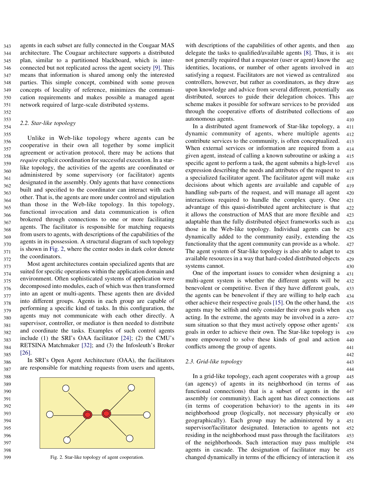agents in each subset are fully connected in the Cougaar MAS architecture. The Cougaar architecture supports a distributed plan, similar to a partitioned blackboard, which is interconnected but not replicated across the agent society [\[9\].](#page-14-0) This means that information is shared among only the interested parties. This simple concept, combined with some proven concepts of locality of reference, minimizes the communication requirements and makes possible a managed agent network required of large-scale distributed systems. 343 344 345 346 347 348 349 350 351

#### 2.2. Star-like topology 353 354

352

Unlike in Web-like topology where agents can be cooperative in their own all together by some implicit agreement or activation protocol, there may be actions that require explicit coordination for successful execution. In a starlike topology, the activities of the agents are coordinated or administered by some supervisory (or facilitator) agents designated in the assembly. Only agents that have connections built and specified to the coordinator can interact with each other. That is, the agents are more under control and stipulation than those in the Web-like topology. In this topology, functional invocation and data communication is often brokered through connections to one or more facilitating agents. The facilitator is responsible for matching requests from users to agents, with descriptions of the capabilities of the agents in its possession. A structural diagram of such topology is shown in Fig. 2, where the center nodes in dark color denote the coordinators. 355 356 357 358 359 360 361 362 363 364 365 366 367 368 369 370 371 372

Most agent architectures contain specialized agents that are suited for specific operations within the application domain and environment. Often sophisticated systems of application were decomposed into modules, each of which was then transformed into an agent or multi-agents. These agents then are divided into different groups. Agents in each group are capable of performing a specific kind of tasks. In this configuration, the agents may not communicate with each other directly. A supervisor, controller, or mediator is then needed to distribute and coordinate the tasks. Examples of such control agents include (1) the SRI's OAA facilitator [\[24\];](#page-15-0) (2) the CMU's RETSINA Matchmaker [\[32\]](#page-15-0); and (3) the Infosleuth's Broker [\[26\]](#page-15-0). 373 374 375 376 377 378 379 380 381 382 383 384 385

In SRI's Open Agent Architecture (OAA), the facilitators are responsible for matching requests from users and agents,



with descriptions of the capabilities of other agents, and then delegate the tasks to qualified/available agents [\[8\].](#page-14-0) Thus, it is not generally required that a requester (user or agent) know the identities, locations, or number of other agents involved in satisfying a request. Facilitators are not viewed as centralized controllers, however, but rather as coordinators, as they draw upon knowledge and advice from several different, potentially distributed, sources to guide their delegation choices. This scheme makes it possible for software services to be provided through the cooperative efforts of distributed collections of autonomous agents. 400 401 402 403 404 405 406 407 408 409 410

In a distributed agent framework of Star-like topology, a dynamic community of agents, where multiple agents contribute services to the community, is often conceptualized. When external services or information are required from a given agent, instead of calling a known subroutine or asking a specific agent to perform a task, the agent submits a high-level expression describing the needs and attributes of the request to a specialized facilitator agent. The facilitator agent will make decisions about which agents are available and capable of handling sub-parts of the request, and will manage all agent interactions required to handle the complex query. One advantage of this quasi-distributed agent architecture is that it allows the construction of MAS that are more flexible and adaptable than the fully distributed object frameworks such as those in the Web-like topology. Individual agents can be dynamically added to the community easily, extending the functionality that the agent community can provide as a whole. The agent system of Star-like topology is also able to adapt to available resources in a way that hard-coded distributed objects systems cannot. 411 412 413 414 415 416 417 418 419 420 421 422 423 424 425 426 427 428 429 430

One of the important issues to consider when designing a multi-agent system is whether the different agents will be benevolent or competitive. Even if they have different goals, the agents can be benevolent if they are willing to help each other achieve their respective goals [\[15\]](#page-14-0). On the other hand, the agents may be selfish and only consider their own goals when acting. In the extreme, the agents may be involved in a zerosum situation so that they must actively oppose other agents' goals in order to achieve their own. The Star-like topology is more empowered to solve these kinds of goal and action conflicts among the group of agents. 431 432 433 434 435 436 437 438 439 440 441

> 442 443 444

#### 2.3. Grid-like topology

In a grid-like topology, each agent cooperates with a group (an agency) of agents in its neighborhood (in terms of functional connections) that is a subset of agents in the assembly (or community). Each agent has direct connections (in terms of cooperation behavior) to the agents in its neighborhood group (logically, not necessary physically or geographically). Each group may be administered by a supervisor/facilitator designated. Interaction to agents not residing in the neighborhood must pass through the facilitators of the neighborhoods. Such interaction may pass multiple agents in cascade. The designation of facilitator may be Fig. 2. Star-like topology of agent cooperation. changed dynamically in terms of the efficiency of interaction it 445 446 447 448 449 450 451 452 453 454 455 456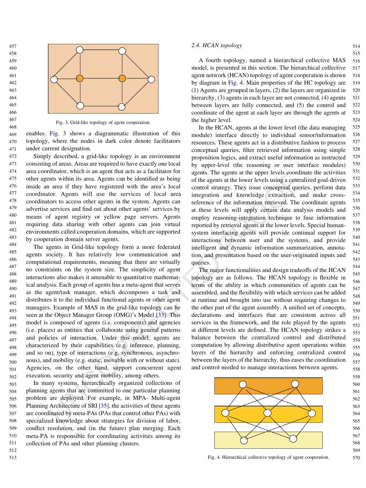

512 513

Fig. 3. Grid-like topology of agent cooperation.

enables. Fig. 3 shows a diagrammatic illustration of this topology, where the nodes in dark color denote facilitators under current designation. 469 470 471

Simply described, a grid-like topology is an environment consisting of areas. Areas are required to have exactly one local area coordinator, which is an agent that acts as a facilitator for other agents within its area. Agents can be identified as being inside an area if they have registered with the area's local coordinator. Agents will use the services of local area coordinators to access other agents in the system. Agents can advertise services and find out about other agents' services by means of agent registry or yellow page servers. Agents requiring data sharing with other agents can join virtual environments called cooperation domains, which are supported by cooperation domain server agents. 472 473 474 475 476 477 478 479 480 481 482 483

dinator, which is an agent that acts as a facilitator for agents, The agents at the upper levels exordinate.<br>
Minitis area. Agents can be identified as being of the agents at the upper levels using a centre<br>
or as it they The agents in Grid-like topology form a more federated agents society. It has relatively low communication and computational requirements, meaning that there are virtually no constraints on the system size. The simplicity of agent interactions also makes it amenable to quantitative mathematical analysis. Each group of agents has a meta-agent that serves as the agent/task manager, which decomposes a task and distributes it to the individual functional agents or other agent managers. Example of MAS in the grid-like topology can be seen at the Object Manager Group (OMG)'s Model [33]. This model is composed of agents (i.e. components) and agencies (i.e. places) as entities that collaborate using general patterns and policies of interaction. Under this model, agents are characterized by their capabilities (e.g. inference, planning, and so on), type of interactions (e.g. synchronous, asynchronous), and mobility (e.g. static, movable with or without state). Agencies, on the other hand, support concurrent agent execution, security and agent mobility, among others. 484 485 486 487 488 489 490 491 492 493 494 495 496 497 498 499 500 501 502

In many systems, hierarchically organized collections of planning agents that are committed to one particular planning problem are deployed. For example, in MPA- Multi-agent Planning Architecture of SRI [35], the activities of these agents are coordinated by meta-PAs (PAs that control other PAs) with specialized knowledge about strategies for division of labor, conflict resolution, and (in the future) plan merging. Each meta-PA is responsible for coordinating activities among its collection of PAs and other planning clusters. 503 504 505 506 507 508 509 510 511

#### 2.4. HCAN topology

A fourth topology, named a hierarchical collective MAS model, is presented in this section. The hierarchical collective agent network (HCAN) topology of agent cooperation is shown by diagram in Fig. 4. Main properties of the HC topology are (1) Agents are grouped in layers, (2) the layers are organized in hierarchy, (3) agents in each layer are not connected, (4) agents between layers are fully connected, and (5) the control and coordinate of the agent at each layer are through the agents at the higher level. 516 517 518 519 520 521 522 523 524

In the HCAN, agents at the lower level (the data managing module) interface directly to individual sensor/information resources. These agents act in a distributive fashion to process conceptual queries, filter retrieved information using simple proposition logics, and extract useful information as instructed by upper-level (the reasoning or user interface modules) agents. The agents at the upper levels coordinate the activities of the agents at the lower levels using a centralized goal-driven control strategy. They issue conceptual queries, perform data integration and knowledge extraction, and make crossreference of the information retrieved. The coordinate agents at these levels will apply certain data analysis models and employ reasoning-integration technique to fuse information reported by retrieval agents at the lower levels. Special humansystem interfacing agents will provide continual support for interactions between user and the systems, and provide intelligent and dynamic information summarization, annotation, and presentation based on the user-originated inputs and queries. 525 526 527 528 529 530 531 532 533 534 535 536 537 538 539 540 541 542 543 544

The major functionalities and design tradeoffs of the HCAN topology are as follows. The HCAN topology is flexible in terms of the ability in which communities of agents can be assembled, and the flexibility with which services can be added at runtime and brought into use without requiring changes to the other part of the agent assembly. A unified set of concepts, declarations and interfaces that are consistent across all services in the framework, and the role played by the agents at different levels are defined. The HCAN topology strikes a balance between the centralized control and distributed computation by allowing distributive agent operations within layers of the hierarchy and enforcing centralized control between the layers of the hierarchy, thus eases the coordination and control needed to manage interactions between agents.



Fig. 4. Hierarchical collective topology of agent cooperation.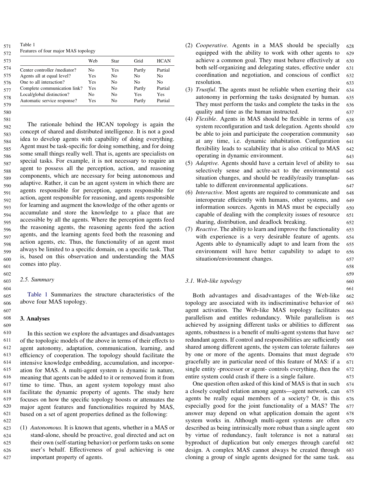Table 1 Features of four major MAS topology 571

|                              | Web        | Star           | Grid           | <b>HCAN</b>    |
|------------------------------|------------|----------------|----------------|----------------|
| Center controller /mediator? | No         | Yes            | Partly         | Partial        |
| Agents all at equal level?   | Yes        | N <sub>0</sub> | N <sub>0</sub> | N <sub>0</sub> |
| One to all interaction?      | Yes        | N <sub>0</sub> | N <sub>0</sub> | N <sub>0</sub> |
| Complete communication link? | <b>Yes</b> | No             | Partly         | Partial        |
| Local/global distinction?    | No         | No             | Yes            | Yes            |
| Automatic service response?  | Yes        | N <sub>0</sub> | Partly         | Partial        |

The rationale behind the HCAN topology is again the concept of shared and distributed intelligence. It is not a good idea to develop agents with capability of doing everything. Agent must be task-specific for doing something, and for doing some small things really well. That is, agents are specialists on special tasks. For example, it is not necessary to require an agent to possess all the perception, action, and reasoning components, which are necessary for being autonomous and adaptive. Rather, it can be an agent system in which there are agents responsible for perception, agents responsible for action, agent responsible for reasoning, and agents responsible for learning and augment the knowledge of the other agents or accumulate and store the knowledge to a place that are accessible by all the agents. Where the perception agents feed the reasoning agents, the reasoning agents feed the action agents, and the learning agents feed both the reasoning and action agents, etc. Thus, the functionality of an agent must always be limited to a specific domain, on a specific task. That is, based on this observation and understanding the MAS comes into play. 581 582 583 584 585 586 587 588 589 590 591 592 593 594 595 596 597 598 599 600 601

## 2.5. Summary

Table 1 Summarizes the structure characteristics of the above four MAS topology.

## 3. Analyses

In this section we explore the advantages and disadvantages of the topologic models of the above in terms of their effects to agent autonomy, adaptation, communication, learning, and efficiency of cooperation. The topology should facilitate the intensive knowledge embedding, accumulation, and incorporation for MAS. A multi-agent system is dynamic in nature, meaning that agents can be added to it or removed from it from time to time. Thus, an agent system topology must also facilitate the dynamic property of agents. The study here focuses on how the specific topology boosts or attenuates the major agent features and functionalities required by MAS, based on a set of agent properties defined as the following: 610 611 612 613 614 615 616 617 618 619 620 621 622

(1) Autonomous. It is known that agents, whether in a MAS or stand-alone, should be proactive, goal directed and act on their own (self-starting behavior) or perform tasks on some user's behalf. Effectiveness of goal achieving is one important property of agents. 623 624 625 626 627

- (2) Cooperative. Agents in a MAS should be specially equipped with the ability to work with other agents to achieve a common goal. They must behave effectively at both self-organizing and delegating states, effective under coordination and negotiation, and conscious of conflict resolution. 628 629 630 631 632 633
- (3) Trustful. The agents must be reliable when exerting their autonomy in performing the tasks designated by human. They must perform the tasks and complete the tasks in the quality and time as the human instructed. 634 635 636 637
- (4) Flexible. Agents in MAS should be flexible in terms of system reconfiguration and task delegation. Agents should be able to join and participate the cooperation community at any time, i.e. dynamic inhabitation. Configuration flexibility leads to scalability that is also critical to MAS operating in dynamic environment. 638 639 640 641 642 643
- (5) Adaptive. Agents should have a certain level of ability to selectively sense and act/re-act to the environmental situation changes, and should be readily/easily transplantable to different environmental applications. 644 645 646 647
- (6) Interactive. Most agents are required to communicate and interoperate efficiently with humans, other systems, and information sources. Agents in MAS must be especially capable of dealing with the complexity issues of resource sharing, distribution, and deadlock breaking. 648 649 650 651 652
- (7) Reactive. The ability to learn and improve the functionality with experience is a very desirable feature of agents. Agents able to dynamically adapt to and learn from the environment will have better capability to adapt to situation/environment changes. 653 654 655 656 657

## 3.1. Web-like topology

Both advantages and disadvantages of the Web-like topology are associated with its indiscriminative behavior of agent activation. The Web-like MAS topology facilitates parallelism and entitles redundancy. While parallelism is achieved by assigning different tasks or abilities to different agents, robustness is a benefit of multi-agent systems that have redundant agents. If control and responsibilities are sufficiently shared among different agents, the system can tolerate failures by one or more of the agents. Domains that must degrade gracefully are in particular need of this feature of MAS: if a single entity -processor or agent- controls everything, then the entire system could crash if there is a single failure. 662 663 664 665 666 667 668 669 670 671 672 673

One question often asked of this kind of MAS is that in such a closely coupled relation among agents—agent network, can agents be really equal members of a society? Or, is this especially good for the joint functionality of a MAS? The answer may depend on what application domain the agent system works in. Although multi-agent systems are often described as being intrinsically more robust than a single agent by virtue of redundancy, fault tolerance is not a natural byproduct of duplication but only emerges through careful design. A complex MAS cannot always be created through cloning a group of single agents designed for the same task. 674 675 676 677 678 679 680 681 682 683 684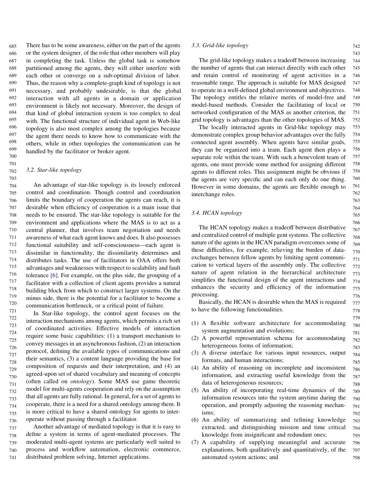There has to be some awareness, either on the part of the agents or the system designer, of the role that other members will play in completing the task. Unless the global task is somehow partitioned among the agents, they will either interfere with each other or converge on a sub-optimal division of labor. Thus, the reason why a complete-graph kind of topology is not necessary, and probably undesirable, is that the global interaction with all agents in a domain or application environment is likely not necessary. Moreover, the design of that kind of global interaction system is too complex to deal with. The functional structure of individual agent in Web-like topology is also most complex among the topologies because the agent there needs to know how to communicate with the others, while in other topologies the communication can be handled by the facilitator or broker agent. 685 686 687 688 689 690 691 692 693 694 695 696 697 698 699 700

#### 3.2. Star-like topology 702

701

703

An advantage of star-like topology is its loosely enforced control and coordination. Though control and coordination limits the boundary of cooperation the agents can reach, it is desirable when efficiency of cooperation is a main issue that needs to be ensured. The star-like topology is suitable for the environment and applications where the MAS is to act as a central planner, that involves team negotiation and needs awareness of what each agent knows and does. It also possesses functional suitability and self-consciousness—each agent is dissimilar in functionality, the dissimilarity determines and distributes tasks. The use of facilitators in OAA offers both advantages and weaknesses with respect to scalability and fault tolerance [\[6\].](#page-14-0) For example, on the plus side, the grouping of a facilitator with a collection of client agents provides a natural building block from which to construct larger systems. On the minus side, there is the potential for a facilitator to become a communication bottleneck, or a critical point of failure. 704 705 706 707 708 709 710 711 712 713 714 715 716 717 718 719 720

In Star-like topology, the control agent focuses on the interaction mechanisms among agents, which permits a rich set of coordinated activities. Effective models of interaction require some basic capabilities: (1) a transport mechanism to convey messages in an asynchronous fashion, (2) an interaction protocol, defining the available types of communications and their semantics, (3) a content language providing the base for composition of requests and their interpretation, and (4) an agreed-upon set of shared vocabulary and meaning of concepts (often called on ontology). Some MAS use game theoretic model for multi-agents cooperation and rely on the assumption that all agents are fully rational. In general, for a set of agents to cooperate, there is a need for a shared ontology among them. It is more critical to have a shared ontology for agents to interoperate without passing through a facilitator. 721 722 723 724 725 726 727 728 729 730 731 732 733 734 735 736

Another advantage of mediated topology is that it is easy to define a system in terms of agent-mediated processes. The moderated multi-agent systems are particularly well suited to process and workflow automation, electronic commerce, distributed problem solving, Internet applications. 737 738 739 740 741

#### 3.3. Grid-like topology

The grid-like topology makes a tradeoff between increasing the number of agents that can interact directly with each other and retain control of monitoring of agent activities in a reasonable range. The approach is suitable for MAS designed to operate in a well-defined global environment and objectives. The topology entitles the relative merits of model-free and model-based methods. Consider the facilitating of local or networked configuration of the MAS as another criterion, the grid topology is advantages than the other topologies of MAS. 744 745 746 747 748 749 750 751 752

The locally interacted agents in Grid-like topology may demonstrate complex group behavior advantages over the fully connected agent assembly. When agents have similar goals, they can be organized into a team. Each agent then plays a separate role within the team. With such a benevolent team of agents, one must provide some method for assigning different agents to different roles. This assignment might be obvious if the agents are very specific and can each only do one thing. However in some domains, the agents are flexible enough to interchange roles. 753 754 755 756 757 758 759

#### 3.4. HCAN topology

The HCAN topology makes a tradeoff between distributive and centralized control of multiple gent systems. The collective nature of the agents in the HCAN paradigm overcomes some of these difficulties, for example, relieving the burden of dataexchanges between fellow agents by limiting agent communication to vertical layers of the assembly only. The collective nature of agent relation in the hierarchical architecture simplifies the functional design of the agent interactions and enhances the security and efficiency of the information processing.

Basically, the HCAN is desirable when the MAS is required to have the following functionalities.

- (1) A flexible software architecture for accommodating system augmentation and evolutions; 780 781
- (2) A powerful representation schema for accommodating heterogeneous forms of information;
- (3) A diverse interface for various input resources, output formats, and human interactions;
- (4) An ability of reasoning on incomplete and inconsistent information, and extracting useful knowledge from the data of heterogeneous resources;
- (5) An ability of incorporating real-time dynamics of the information resources into the system anytime during the operation, and promptly adjusting the reasoning mechanisms;
- (6) An ability of summarizing and refining knowledge extracted, and distinguishing mission and time critical knowledge from insignificant and redundant ones; 793 794 795
- (7) A capability of supplying meaningful and accurate explanations, both qualitatively and quantitatively, of the automated system actions; and 796 797 798

742 743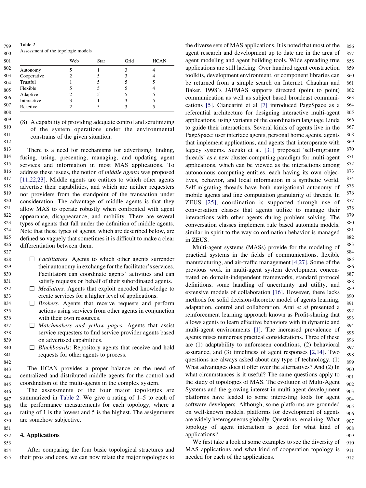Table 2 Assessment of the topologic models 799

811

|             | Web | <b>Star</b> | Grid | <b>HCAN</b> |
|-------------|-----|-------------|------|-------------|
| Autonomy    |     |             |      |             |
| Cooperative |     |             |      |             |
| Trustful    |     |             |      |             |
| Flexible    |     |             |      |             |
| Adaptive    |     |             |      |             |
| Interactive |     |             | 3    |             |
| Reactive    |     |             |      |             |

(8) A capability of providing adequate control and scrutinizing of the system operations under the environmental constrains of the given situation. 810 812

There is a need for mechanisms for advertising, finding, fusing, using, presenting, managing, and updating agent services and information in most MAS applications. To address these issues, the notion of middle agents was proposed [\[11,22,23\]](#page-14-0). Middle agents are entities to which other agents advertise their capabilities, and which are neither requesters nor providers from the standpoint of the transaction under consideration. The advantage of middle agents is that they allow MAS to operate robustly when confronted with agent appearance, disappearance, and mobility. There are several types of agents that fall under the definition of middle agents. Note that these types of agents, which are described below, are defined so vaguely that sometimes it is difficult to make a clear differentiation between them. 813 814 815 816 817 818 819 820 821 822 823 824 825 826 827

- $\Box$  Facilitators. Agents to which other agents surrender their autonomy in exchange for the facilitator's services. Facilitators can coordinate agents' activities and can satisfy requests on behalf of their subordinated agents. 828 829 830 831
	- $\Box$  *Mediators.* Agents that exploit encoded knowledge to create services for a higher level of applications.
	- $\Box$  Brokers. Agents that receive requests and perform actions using services from other agents in conjunction with their own resources.
	- $\Box$  Matchmakers and yellow pages. Agents that assist service requesters to find service provider agents based on advertised capabilities.
	- $\Box$  Blackboards: Repository agents that receive and hold requests for other agents to process.

The HCAN provides a proper balance on the need of centralized and distributed middle agents for the control and coordination of the multi-agents in the complex system. 843 844 845

The assessments of the four major topologies are summarized in Table 2. We give a rating of 1–5 to each of the performance measurements for each topology, where a rating of 1 is the lowest and 5 is the highest. The assignments are somehow subjective. 846 847 848 849 850

#### 4. Applications 852

853

851

After comparing the four basic topological structures and their pros and cons, we can now relate the major topologies to 854 855

the diverse sets of MAS applications. It is noted that most of the agent research and development up to date are in the area of agent modeling and agent building tools. Wide spreading true applications are still lacking. Over hundred agent construction toolkits, development environment, or component libraries can be returned from a simple search on Internet. Chauhan and Baker, 1998's JAFMAS supports directed (point to point) communication as well as subject based broadcast communications [\[5\]](#page-14-0). Ciancarini et al [\[7\]](#page-14-0) introduced PageSpace as a referential architecture for designing interactive multi-agent applications, using variants of the coordination language Linda to guide their interactions. Several kinds of agents live in the PageSpace: user interface agents, personal home agents, agents that implement applications, and agents that interoperate with legacy systems. Suzuki et al. [\[31\]](#page-15-0) proposed 'self-migrating threads' as a new cluster-computing paradigm for multi-agent applications, which can be viewed as the interactions among autonomous computing entities, each having its own objectives, behavior, and local information in a synthetic world. Self-migrating threads have both navigational autonomy of mobile agents and fine computation granularity of threads. In ZEUS [\[25\],](#page-15-0) coordination is supported through use of conversation classes that agents utilize to manage their interactions with other agents during problem solving. The conversation classes implement rule based automata models, similar in spirit to the way co ordination behavior is managed in ZEUS. 856 857 858 859 860 861 862 863 864 865 866 867 868 869 870 871 872 873 874 875 876 877 878 879 880 881 882 883

Multi-agent systems (MASs) provide for the modeling of practical systems in the fields of communications, flexible manufacturing, and air-traffic management [\[4,27\].](#page-14-0) Some of the previous work in multi-agent system development concentrated on domain-independent frameworks, standard protocol definitions, some handling of uncertainty and utility, and extensive models of collaboration [\[16\]](#page-14-0). However, there lacks methods for solid decision-theoretic model of agents learning, adaptation, control and collaboration. Arai et al presented a reinforcement learning approach known as Profit-sharing that allows agents to learn effective behaviors with in dynamic and multi-agent environments [\[1\]](#page-14-0). The increased prevalence of agents raises numerous practical considerations. Three of these are (1) adaptability to unforeseen conditions, (2) behavioral assurance, and (3) timeliness of agent responses [\[2,14\]](#page-14-0). Two questions are always asked about any type of technology. (1) What advantages does it offer over the alternatives? And (2) In what circumstances is it useful? The same questions apply to the study of topologies of MAS. The evolution of Multi-Agent Systems and the growing interest in multi-agent development platforms have leaded to some interesting tools for agent software developers. Although, some platforms are grounded on well-known models, platforms for development of agents are widely heterogeneous globally. Questions remaining: What topology of agent interaction is good for what kind of applications? 884 885 886 887 888 889 890 891 892 893 894 895 896 897 898 899 900 901  $902$  $903$ 904 905 906 907 908 909

We first take a look at some examples to see the diversity of MAS applications and what kind of cooperation topology is needed for each of the applications. 910 911 912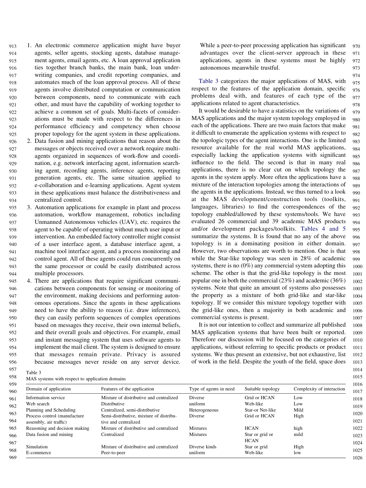1. An electronic commerce application might have buyer agents, seller agents, stocking agents, database management agents, email agents, etc. A loan approval application ties together branch banks, the main bank, loan underwriting companies, and credit reporting companies, and automates much of the loan approval process. All of these agents involve distributed computation or communication between components, need to communicate with each other, and must have the capability of working together to achieve a common set of goals. Multi-facets of considerations must be made with respect to the differences in performance efficiency and competency when choose proper topology for the agent system in these applications. 913 914 915 916 917 918 919 920 921 922 923 924 925

2. Data fusion and mining applications that reason about the messages or objects received over a network require multiagents organized in sequences of work-flow and coordination, e.g. network interfacing agent, information searching agent, recording agents, inference agents, reporting generation agents, etc. The same situation applied to e-collaboration and e-learning applications. Agent system in these applications must balance the distributiveness and centralized control. 926 927 928 929 930 931 932 933 934

3. Automation applications for example in plant and process automation, workflow management, robotics including Unmanned Autonomous vehicles (UAV), etc. requires the agent to be capable of operating without much user input or intervention. An embedded factory controller might consist of a user interface agent, a database interface agent, a machine tool interface agent, and a process monitoring and control agent. All of these agents could run concurrently on the same processor or could be easily distributed across multiple processors. 935 936 937 938 939  $940$ 941 942 943 944

4. There are applications that require significant communications between components for sensing or monitoring of the environment, making decisions and performing autonomous operations. Since the agents in these applications need to have the ability to reason (i.e. draw inferences), they can easily perform sequences of complex operations based on messages they receive, their own internal beliefs, and their overall goals and objectives. For example, email and instant messaging system that uses software agents to implement the mail client. The system is designed to ensure that messages remain private. Privacy is assured because messages never reside on any server device. 945 946 947 948 949 950 951 952 953 954 955 956

While a peer-to-peer processing application has significant advantages over the client-server approach in these applications, agents in these systems must be highly autonomous meanwhile trustful. 970 971 972 973

974

1014 1015

Table 3 categorizes the major applications of MAS, with respect to the features of the application domain, specific problems deal with, and features of each type of the applications related to agent characteristics. 975 976 977 978

It would be desirable to have a statistics on the variations of MAS applications and the major system topology employed in each of the applications. There are two main factors that make it difficult to enumerate the application systems with respect to the topologic types of the agent interactions. One is the limited resource available for the real world MAS applications, especially lacking the application systems with significant influence to the field. The second is that in many real applications, there is no clear cut on which topology the agents in the system apply. More often the applications have a mixture of the interaction topologies among the interactions of the agents in the applications. Instead, we thus turned to a look at the MAS development/construction tools (toolkits, languages, libraries) to find the correspondences of the topology enabled/allowed by these systems/tools. We have evaluated 26 commercial and 39 academic MAS products and/or development packages/toolkits. [Tables 4 and 5](#page-10-0) summarize the systems. It is found that no any of the above topology is in a dominating position in either domain. However, two observations are worth to mention. One is that while the Star-like topology was seen in 28% of academic systems, there is no (0%) any commercial system adopting this scheme. The other is that the grid-like topology is the most popular one in both the commercial (23%) and academic (36%) systems. Note that quite an amount of systems also possesses the property as a mixture of both grid-like and star-like topology. If we consider this mixture topology together with the grid-like ones, then a majority in both academic and commercial systems is present. 979 980 981 982 983 984 985 986 987 988 989 990 991 992 993 994 995 996 997 998 999 1000 1001 1002 1003 1004 1005 1006 1007

It is not our intention to collect and summarize all published MAS application systems that have been built or reported. Therefore our discussion will be focused on the categories of applications, without referring to specific products or product systems. We thus present an extensive, but not exhaustive, list of work in the field. Despite the youth of the field, space does 1008 1009 1010 1011 1012 1013

Table 3 957

MAS systems with respect to application domains 958

| Domain of application                                   | Features of the application                                     | Type of agents in need | Suitable topology              | Complexity of interaction |
|---------------------------------------------------------|-----------------------------------------------------------------|------------------------|--------------------------------|---------------------------|
| Information service                                     | Mixture of distributive and centralized                         | <b>Diverse</b>         | Grid or HCAN                   | Low                       |
| Web search                                              | <b>Distributive</b>                                             | uniform                | Web-like                       | Low                       |
| Planning and Scheduling                                 | Centralized, semi-distributive                                  | Heterogeneous          | <b>Star-or Net-like</b>        | Mild                      |
| Process control (manufacture)<br>assembly, air traffic) | Semi-distributive, mixture of distribu-<br>tive and centralized | <b>Diverse</b>         | Grid or HCAN                   | High                      |
| Reasoning and decision making                           | Mixture of distributive and centralized                         | <b>Mixtures</b>        | <b>HCAN</b>                    | high                      |
| Data fusion and mining                                  | Centralized                                                     | Mixtures               | Star or grid or<br><b>HCAN</b> | mild                      |
| Simulation                                              | Mixture of distributive and centralized                         | Diverse kinds          | Star or grid                   | High                      |
| E-commerce                                              | Peer-to-peer                                                    | uniform                | Web-like                       | low                       |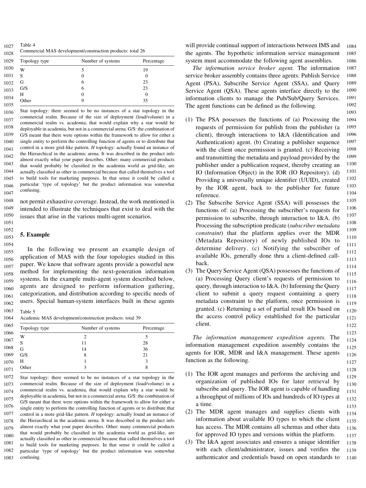<span id="page-10-0"></span>Table 4 1027

Commercial MAS development/construction products: total 26 1028

| Topology type | Number of systems | Percentage |
|---------------|-------------------|------------|
| W             |                   | 19         |
| S             | 0                 |            |
| G             | 6                 | 23         |
| G/S           | 6                 | 23         |
| Н             | 0                 | 0          |
| Other         | 9                 | 35         |

Star topology: there seemed to be no instances of a star topology in the commercial realm. Because of the size of deployment (load/volume) in a commercial realm vs. academia, that would explain why a star would be deployable in academia, but not in a commercial arena. G/S: the combination of G/S meant that there were options within the framework to allow for either a single entity to perform the controlling function of agents or to distribute that control in a more grid-like pattern. H topology: actually found an instance of the Hierarchical in the academic arena. It was described in the product info almost exactly what your paper describes. Other: many commercial products that would probably be classified in the academia world as grid-like, are actually classified as other in commercial because that called themselves a tool to build tools for marketing purposes. In that sense it could be called a particular 'type of topology' but the product information was somewhat confusing. 1036 1037 1038 1039 1040 1041 1042 1043 1044 1045 1046 1047

not permit exhaustive coverage. Instead, the work mentioned is intended to illustrate the techniques that exist to deal with the issues that arise in the various multi-agent scenarios. 1048 1049 1050 1051

#### 5. Example

1052 1053

In the following we present an example design of application of MAS with the four topologies studied in this paper. We know that software agents provide a powerful new method for implementing the next-generation information systems. In the example multi-agent system described below, agents are designed to perform information gathering, categorization, and distribution according to specific needs of users. Special human-system interfaces built in these agents 1054 1055 1056 1057 1058 1059 1060 1061 1062

Table 5 1063

Academic MAS development/construction products: total 39 1064

| Topology type | Number of systems | Percentage |
|---------------|-------------------|------------|
| W             |                   |            |
| c             | 11                | 28         |
| G             | 14                | 36         |
| G/S           | 8                 | 21         |
| Н             |                   | 3          |
| Other         |                   | 8          |

Star topology: there seemed to be no instances of a star topology in the commercial realm. Because of the size of deployment (load/volume) in a commercial realm vs. academia, that would explain why a star would be deployable in academia, but not in a commercial arena. G/S: the combination of G/S meant that there were options within the framework to allow for either a single entity to perform the controlling function of agents or to distribute that control in a more grid-like pattern. H topology: actually found an instance of the Hierarchical in the academic arena. It was described in the product info almost exactly what your paper describes. Other: many commercial products that would probably be classified in the academia world as grid-like, are actually classified as other in commercial because that called themselves a tool to build tools for marketing purposes. In that sense it could be called a particular 'type of topology' but the product information was somewhat confusing. 1072 1073 1074 1075 1076 1077 1078 1079 1080 1081 1082 1083

will provide continual support of interactions between IMS and the agents. The hypothetic information service management system must accommodate the following agent assemblies. 1084 1085 1086

The information service broker agent. The information service broker assembly contains three agents: Publish Service Agent (PSA), Subscribe Service Agent (SSA), and Query Service Agent (QSA). These agents interface directly to the information clients to manage the Pub/Sub/Query Services. The agent functions can be defined as the following. 1087 1088 1089 1090 1091 1092

- (1) The PSA possesses the functions of (a) Processing the requests of permission for publish from the publisher (a client), through interactions to I&A (Identification and Authentication) agent. (b) Creating a publisher sequence with the client once permission is granted. (c) Receiving and transmitting the metadata and payload provided by the publisher under a publication request, thereby creating an IO (Information Object) in the IOR (IO Repository). (d) Providing a universally unique identifier (UUID), created by the IOR agent, back to the publisher for future reference. 1094 1095 1096 1097 1098 1099 1100 1101 1102 1103 1104
- (2) The Subscribe Service Agent (SSA) will possesses the functions of: (a) Processing the subscriber's requests for permission to subscribe, through interaction to I&A. (b) Processing the subscription predicate (subscriber metadata constraint) that the platform applies over the MDR (Metadata Repository) of newly published IOs to determine delivery. (c) Notifying the subscriber of available IOs, generally done thru a client-defined callback. 1105 1106 1107 1108 1109 1110 1111 1112 1113 1114
- (3) The Query Service Agent (QSA) possesses the functions of (a) Processing Query client's requests of permission to query, through interaction to I&A. (b) Informing the Query client to submit a query request containing a query metadata constraint to the platform, once permission is granted. (c) Returning a set of partial result IOs based on the access control policy established for the particular client. 1115 1119 1120 1121 1122

The information management expedition agents. The information management expedition assembly contains the agents for IOR, MDR and I&A management. These agents function as the following. 1123 1124 1125 1126 1127

- (1) The IOR agent manages and performs the archiving and organization of published IOs for later retrieval by subscribe and query. The IOR agent is capable of handling a throughput of millions of IOs and hundreds of IO types at a time. 1130 1131 1132 1133
- (2) The MDR agent manages and supplies clients with information about available IO types to which the client has access. The MDR contains all schemas and other data for approved IO types and versions within the platform. 1134 1135 1136 1137
- (3) The I&A agent associates and ensures a unique identifier with each client/administrator, issues and verifies the authenticator and credentials based on open standards to 1138 1139 1140

1116 1117 1118

1128 1129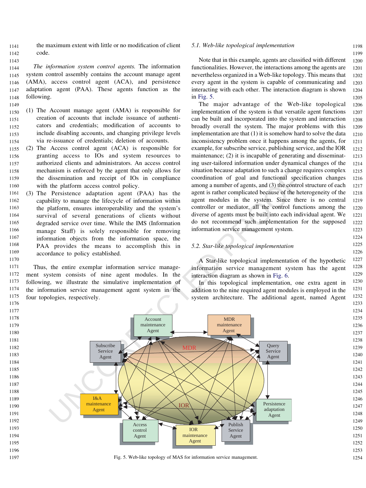- the maximum extent with little or no modification of client code. 1141 1142
- The information system control agents. The information system control assembly contains the account manage agent (AMA), access control agent (ACA), and persistence adaptation agent (PAA). These agents function as the following. 1143 1144 1145 1146 1147 1148

- (1) The Account manage agent (AMA) is responsible for creation of accounts that include issuance of authenticators and credentials; modification of accounts to include disabling accounts, and changing privilege levels via re-issuance of credentials; deletion of accounts. 1150 1151 1152 1153 1154
- (2) The Access control agent (ACA) is responsible for granting access to IOs and system resources to authorized clients and administrators. An access control mechanism is enforced by the agent that only allows for the dissemination and receipt of IOs in compliance with the platform access control policy. 1155 1156 1157 1158 1159 1160
- (3) The Persistence adaptation agent (PAA) has the capability to manage the lifecycle of information within the platform, ensures interoperability and the system's survival of several generations of clients without degraded service over time. While the IMS (Information manage Staff) is solely responsible for removing information objects from the information space, the PAA provides the means to accomplish this in accordance to policy established. 1161 1162 1163 1164 1165 1166 1167 1168 1169 1170

Thus, the entire exemplar information service management system consists of nine agent modules. In the following, we illustrate the simulative implementation of the information service management agent system in the four topologies, respectively. 1171 1172 1173 1174 1175

#### 5.1. Web-like topological implementation

Note that in this example, agents are classified with different functionalities. However, the interactions among the agents are nevertheless organized in a Web-like topology. This means that every agent in the system is capable of communicating and interacting with each other. The interaction diagram is shown in Fig. 5. 1200 1201 1202 1203 1204 1205

The major advantage of the Web-like topological implementation of the system is that versatile agent functions can be built and incorporated into the system and interaction broadly overall the system. The major problems with this implementation are that (1) it is somehow hard to solve the data inconsistency problem once it happens among the agents, for example, for subscribe service, publishing service, and the IOR maintenance; (2) it is incapable of generating and disseminating user-tailored information under dynamical changes of the situation because adaptation to such a change requires complex coordination of goal and functional specification changes among a number of agents, and (3) the control structure of each agent is rather complicated because of the heterogeneity of the agent modules in the system. Since there is no central controller or mediator, all the control functions among the diverse of agents must be built into each individual agent. We do not recommend such implementation for the supposed information service management system. 1206 1207 1208 1209 1210 1211 1212 1213 1214 1215 1216 1217 1218 1219 1220 1221 1222 1223

#### 5.2. Star-like topological implementation

A Star-like topological implementation of the hypothetic information service management system has the agent interaction diagram as shown in Fig. 6.

In this topological implementation, one extra agent in addition to the nine required agent modules is employed in the system architecture. The additional agent, named Agent



1198 1199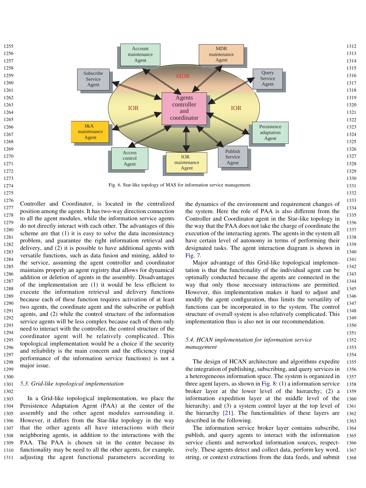<span id="page-12-0"></span>

Fig. 6. Star-like topology of MAS for information service management.

Controller and Coordinator, is located in the centralized position among the agents. It has two-way direction connection to all the agent modules, while the information service agents do not directly interact with each other. The advantages of this scheme are that (1) it is easy to solve the data inconsistency problem, and guarantee the right information retrieval and delivery, and (2) it is possible to have additional agents with versatile functions, such as data fusion and mining, added to the service, assuming the agent controller and coordinator maintains properly an agent registry that allows for dynamical addition or deletion of agents in the assembly. Disadvantages of the implementation are (1) it would be less efficient to execute the information retrieval and delivery functions because each of these function requires activation of at least two agents, the coordinate agent and the subscribe or publish agents, and (2) while the control structure of the information service agents will be less complex because each of them only need to interact with the controller, the control structure of the coordinator agent will be relatively complicated. This topological implementation would be a choice if the security and reliability is the main concern and the efficiency (rapid performance of the information service functions) is not a major issue.

#### 5.3. Grid-like topological implementation

In a Grid-like topological implementation, we place the Persistence Adaptation Agent (PAA) at the center of the assembly and the other agent modules surrounding it. However, it differs from the Star-like topology in the way that the other agents all have interactions with their neighboring agents, in addition to the interactions with the PAA. The PAA is chosen sit in the center because its functionality may be need to all the other agents, for example, adjusting the agent functional parameters according to 1306 1307 1308 1309 1310 1311

the dynamics of the environment and requirement changes of the system. Here the role of PAA is also different from the Controller and Coordinator agent in the Star-like topology in the way that the PAA does not take the charge of coordinate the execution of the interacting agents. The agents in the system all have certain level of autonomy in terms of performing their designated tasks. The agent interaction diagram is shown in [Fig. 7](#page-13-0).

Major advantage of this Grid-like topological implementation is that the functionality of the individual agent can be optimally conducted because the agents are connected in the way that only those necessary interactions are permitted. However, this implementation makes it hard to adjust and modify the agent configuration, thus limits the versatility of functions can be incorporated in to the system. The control structure of overall system is also relatively complicated. This implementation thus is also not in our recommendation.

#### 5.4. HCAN implementation for information service management

The design of HCAN architecture and algorithms expedite the integration of publishing, subscribing, and query services in a heterogeneous information space. The system is organized in three agent layers, as shown in [Fig. 8:](#page-13-0) (1) a information service broker layer at the lower level of the hierarchy; (2) a information expedition layer at the middle level of the hierarchy; and (3) a system control layer at the top level of the hierarchy [\[21\]](#page-14-0). The functionalities of these layers are described in the following. 1355 1356 1357 1358 1359 1360 1361 1362 1363

The information service broker layer contains subscribe, publish, and query agents to interact with the information service clients and networked information sources, respectively. These agents detect and collect data, perform key word, string, or context extractions from the data feeds, and submit 1364 1365 1366 1367 1368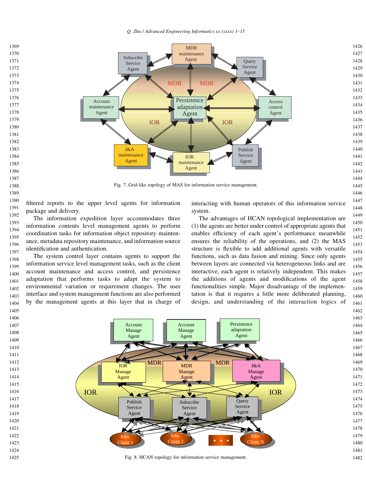<span id="page-13-0"></span>

filtered reports to the upper level agents for information package and delivery. 1391 1392

The information expedition layer accommodates three information contents level management agents to perform coordination tasks for information object repository maintenance, metadata repository maintenance, and information source identification and authentication. 1393 1394 1395 1396 1397

The system control layer contains agents to support the information service level management tasks, such as the client account maintenance and access control, and persistence adaptation that performs tasks to adapt the system to environmental variation or requirement changes. The user interface and system management functions are also performed by the management agents at this layer that in charge of 1398 1399 1400 1401 1402 1403 1404

interacting with human operators of this information service system.

The advantages of HCAN topological implementation are (1) the agents are better under control of appropriate agents that enables efficiency of each agent's performance meanwhile ensures the reliability of the operations, and (2) the MAS structure is flexible to add additional agents with versatile functions, such as data fusion and mining. Since only agents between layers are connected via heterogeneous links and are interactive, each agent is relatively independent. This makes the additions of agents and modifications of the agent functionalities simple. Major disadvantage of the implementation is that it requires a little more deliberated planning, design, and understanding of the interaction logics of

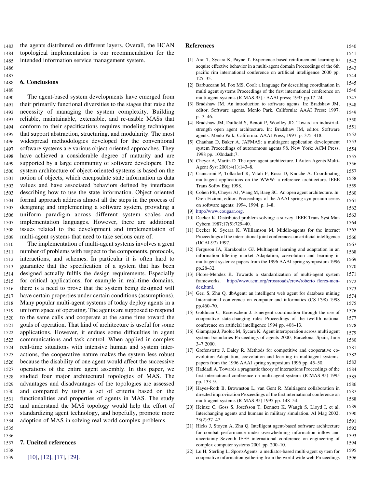<span id="page-14-0"></span>the agents distributed on different layers. Overall, the HCAN topological implementation is our recommendation for the intended information service management system. 1483 1484 1485

#### 1486 1487

1489

#### 6. Conclusions 1488

The agent-based system developments have emerged from their primarily functional diversities to the stages that raise the necessity of managing the system complexity. Building reliable, maintainable, extensible, and re-usable MASs that conform to their specifications requires modeling techniques that support abstraction, structuring, and modularity. The most widespread methodologies developed for the conventional software systems are various object-oriented approaches. They have achieved a considerable degree of maturity and are supported by a large community of software developers. The system architecture of object-oriented systems is based on the notion of objects, which encapsulate state information as data values and have associated behaviors defined by interfaces describing how to use the state information. Object oriented formal approach address almost all the steps in the process of designing and implementing a software system, providing a uniform paradigm across different system scales and implementation languages. However, there are additional issues related to the development and implementation of multi-agent systems that need to take serious care of. 1490 1491 1492 1493 1494 1495 1496 1497 1498 1499 1500 1501 1502 1503 1504 1505 1506 1507 1508 1509

The implementation of multi-agent systems involves a great number of problems with respect to the components, protocols, interactions, and schemes. In particular it is often hard to guarantee that the specification of a system that has been designed actually fulfils the design requirements. Especially for critical applications, for example in real-time domains, there is a need to prove that the system being designed will have certain properties under certain conditions (assumptions). Many popular multi-agent systems of today deploy agents in a uniform space of operating. The agents are supposed to respond to the same calls and cooperate at the same time toward the goals of operation. That kind of architecture is useful for some applications. However, it endues some difficulties in agent communications and task control. When applied in complex real-time situations with intensive human and system interactions, the cooperative nature makes the system less robust because the disability of one agent would affect the successive operations of the entire agent assembly. In this paper, we studied four major architectural topologies of MAS. The advantages and disadvantages of the topologies are assessed and compared by using a set of criteria based on the functionalities and properties of agents in MAS. The study and understand the MAS topology would help the effort of standardizing agent technology, and hopefully, promote more adoption of MAS in solving real world complex problems. 1510 1511 1512 1513 1514 1515 1516 1517 1518 1519 1520 1521 1522 1523 1524 1525 1526 1527 1528 1529 1530 1531 1532 1533 1534

## 1535

1536 1538

#### 7. Uncited references 1537

[10], [12], [17], [\[29\].](#page-15-0) 1539

#### References

- [1] Arai T, Sycara K, Payne T. Experience-based reinforcement learning to acquire effective behavior in a multi-agent domain Proceedings of the 6th pacific rim international conference on artificial intelligence 2000 pp. 125–35. 1542 1543 1544
- [2] Barbuceanu M, Fox MS. Cool: a language for describing coordination in multi agent systems Proceedings of the first international conference on multi-agent systems (ICMAS-95).: AAAI press; 1995 pp.17–24. 1545 1546 1547
- [3] Bradshaw JM. An introduction to software agents. In: Bradshaw JM, editor. Software agents. Menlo Park, California: AAAI Press; 1997. p. 3–46. 1548 1549 1550
- [4] Bradshaw JM, Dutfield S, Benoit P, Woolley JD. Toward an industrialstrength open agent architecture. In: Bradshaw JM, editor. Software agents. Menlo Park, California: AAAI Press; 1997. p. 375–418. 1551 1552
- [5] Chauhan D, Baker A. JAFMAS: a multiagent application development system Proceedings of autonomous agents 98. New York: ACM Press; 1998 pp. 100ndash;7. 1553 1554 1555
- [6] Cheyer A, Martin D. The open agent architecture. J Auton Agents Multi-Agent Syst 2001;4(1):143–8. 1556 1557
- [7] Ciancarini P, Tolksdorf R, Vitali F, Rossi D, Knoche A. Coordinating multiagent applications on the WWW: a reference architecture. IEEE Trans Softw Eng 1998. 1558 1559
- [8] Cohen PR, Cheyer AJ, Wang M, Baeg SC. An open agent architecture. In: Oren Etzioni, editor. Proceedings of the AAAI spring symposium series on software agents; 1994, 1994. p. 1–8. 1560 1561 1562
- [9] [http://www.cougaar.org.](http://www.cougaar.org)
- [10] Decker K. Distributed problem solving: a survey. IEEE Trans Syst Man Cybern 1987;17(5):729–40. 1563 1564
- [11] Decker K, Sycara K, Williamson M. Middle-agents for the internet Proceedings of the international joint conferences on artificial intelligence (IJCAI-97) 1997. 1565 1566 1567
- [12] Ferguson IA, Karakoulas GJ. Multiagent learning and adaptation in an information filtering market Adaptation, coevolution and learning in multiagent systems: papers from the 1996 AAAI spring symposium 1996 pp.28–32. 1568 1569 1570
- [13] Flores-Mendez R. Towards a standardization of multi-agent system frameworks, [http://www.acm.org/crossroads/crew/roberto\\_flores-men](http://www.acm.org/crossroads/crew/roberto_flores-mendez.html)[dez.html.](http://www.acm.org/crossroads/crew/roberto_flores-mendez.html) 1571 1572 1573
- [14] Geri S, Zhu Q. dbAgent: an intelligent web agent for database mining International conference on computer and informatics (CS I'98) 1998 pp.460–70. 1574 1575
- [15] Goldman C, Rosenschein J. Emergent coordination through the use of cooperative state-changing rules Proceedings of the twelfth national conference on artificial intelligence 1994 pp. 408–13. 1576 1577 1578
- [16] Giampapa J, Paoluc M, Sycara K. Agent interoperation across multi agent system boundaries Proceedings of agents 2000, Barcelona, Spain, June 3–7 2000. 1579 1580 1581
- [17] Grefenstette J, Daley R. Methods for competitive and cooperative coevolution Adaptation, coevolution and learning in multiagent systems: papers from the 1996 AAAI spring symposium 1996 pp. 45–50. 1582 1583
- [18] Haddadi A. Towards a pragmatic theory of interactions Proceedings of the first international conference on multi-agent systems (ICMAS-95) 1995 pp. 133–9. 1584 1585 1586
- [19] Hayes-Roth B, Brownston L, van Gent R. Multiagent collaboration in directed improvisation Proceedings of the first international conference on multi-agent systems (ICMAS-95) 1995 pp. 148–54. 1587 1588
- [20] Heinze C, Goss S, Josefsson T, Bennett K, Waugh S, Lloyd I, et al. Interchanging agents and humans in military simulation. AI Mag 2002; 23(2):37–47. 1589 1590 1591
- [21] Hicks J, Stoyen A, Zhu Q. Intelligent agent-based software architecture for combat performance under overwhelming information inflow and uncertainty Seventh IEEE international conference on engineering of complex computer systems 2001 pp. 200–10. 1592 1593 1594
- [22] Lu H, Sterling L. SportsAgents: a mediator-based multi-agent system for cooperative information gathering from the world wide web Proceedings 1595 1596

1540